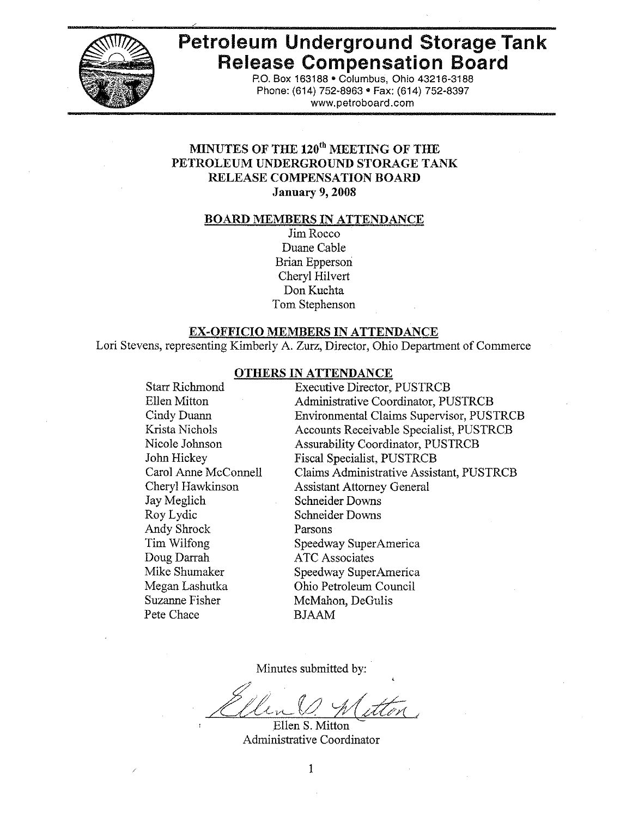

# **Petroleum Underground Storage Tank Release Compensation Board**

P.O. Box 163188 . Columbus, Ohio 43216-3188 Phone: (614) 752-8963 • Fax: (614) 752-8397 www.petroboard.com

# MINUTES OF THE 120<sup>th</sup> MEETING OF THE PETROLEUM UNDERGROUND STORAGE TANK **RELEASE COMPENSATION BOARD January 9, 2008**

#### **BOARD MEMBERS IN ATTENDANCE**

Jim Rocco Duane Cable **Brian Epperson** Cheryl Hilvert Don Kuchta Tom Stephenson

#### **EX-OFFICIO MEMBERS IN ATTENDANCE**

Lori Stevens, representing Kimberly A. Zurz, Director, Ohio Department of Commerce

#### **OTHERS IN ATTENDANCE**

**Starr Richmond Executive Director, PUSTRCB** Ellen Mitton **Administrative Coordinator, PUSTRCB** Cindy Duann **Environmental Claims Supervisor, PUSTRCB** Krista Nichols **Accounts Receivable Specialist, PUSTRCB** Nicole Johnson **Assurability Coordinator, PUSTRCB** John Hickey **Fiscal Specialist, PUSTRCB** Carol Anne McConnell Claims Administrative Assistant, PUSTRCB Cheryl Hawkinson **Assistant Attorney General** Jay Meglich **Schneider Downs** Roy Lydic **Schneider Downs** Andy Shrock Parsons Tim Wilfong Speedway SuperAmerica Doug Darrah **ATC** Associates Mike Shumaker Speedway SuperAmerica Megan Lashutka Ohio Petroleum Council Suzanne Fisher McMahon, DeGulis Pete Chace **BJAAM** 

Minutes submitted by:

Ellen S. Mitton Administrative Coordinator

1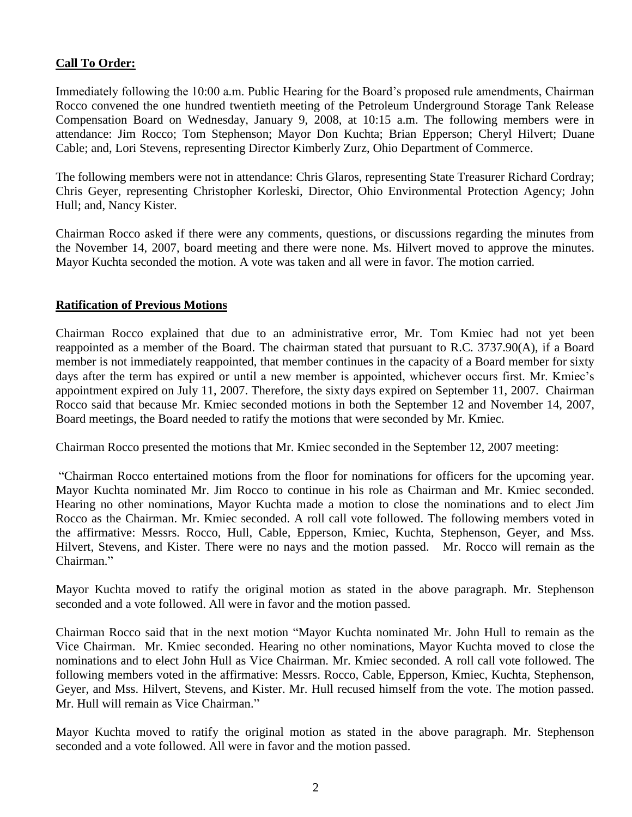# **Call To Order:**

Immediately following the 10:00 a.m. Public Hearing for the Board's proposed rule amendments, Chairman Rocco convened the one hundred twentieth meeting of the Petroleum Underground Storage Tank Release Compensation Board on Wednesday, January 9, 2008, at 10:15 a.m. The following members were in attendance: Jim Rocco; Tom Stephenson; Mayor Don Kuchta; Brian Epperson; Cheryl Hilvert; Duane Cable; and, Lori Stevens, representing Director Kimberly Zurz, Ohio Department of Commerce.

The following members were not in attendance: Chris Glaros, representing State Treasurer Richard Cordray; Chris Geyer, representing Christopher Korleski, Director, Ohio Environmental Protection Agency; John Hull; and, Nancy Kister.

Chairman Rocco asked if there were any comments, questions, or discussions regarding the minutes from the November 14, 2007, board meeting and there were none. Ms. Hilvert moved to approve the minutes. Mayor Kuchta seconded the motion. A vote was taken and all were in favor. The motion carried.

# **Ratification of Previous Motions**

Chairman Rocco explained that due to an administrative error, Mr. Tom Kmiec had not yet been reappointed as a member of the Board. The chairman stated that pursuant to R.C. 3737.90(A), if a Board member is not immediately reappointed, that member continues in the capacity of a Board member for sixty days after the term has expired or until a new member is appointed, whichever occurs first. Mr. Kmiec's appointment expired on July 11, 2007. Therefore, the sixty days expired on September 11, 2007. Chairman Rocco said that because Mr. Kmiec seconded motions in both the September 12 and November 14, 2007, Board meetings, the Board needed to ratify the motions that were seconded by Mr. Kmiec.

Chairman Rocco presented the motions that Mr. Kmiec seconded in the September 12, 2007 meeting:

"Chairman Rocco entertained motions from the floor for nominations for officers for the upcoming year. Mayor Kuchta nominated Mr. Jim Rocco to continue in his role as Chairman and Mr. Kmiec seconded. Hearing no other nominations, Mayor Kuchta made a motion to close the nominations and to elect Jim Rocco as the Chairman. Mr. Kmiec seconded. A roll call vote followed. The following members voted in the affirmative: Messrs. Rocco, Hull, Cable, Epperson, Kmiec, Kuchta, Stephenson, Geyer, and Mss. Hilvert, Stevens, and Kister. There were no nays and the motion passed. Mr. Rocco will remain as the Chairman."

Mayor Kuchta moved to ratify the original motion as stated in the above paragraph. Mr. Stephenson seconded and a vote followed. All were in favor and the motion passed.

Chairman Rocco said that in the next motion "Mayor Kuchta nominated Mr. John Hull to remain as the Vice Chairman. Mr. Kmiec seconded. Hearing no other nominations, Mayor Kuchta moved to close the nominations and to elect John Hull as Vice Chairman. Mr. Kmiec seconded. A roll call vote followed. The following members voted in the affirmative: Messrs. Rocco, Cable, Epperson, Kmiec, Kuchta, Stephenson, Geyer, and Mss. Hilvert, Stevens, and Kister. Mr. Hull recused himself from the vote. The motion passed. Mr. Hull will remain as Vice Chairman."

Mayor Kuchta moved to ratify the original motion as stated in the above paragraph. Mr. Stephenson seconded and a vote followed. All were in favor and the motion passed.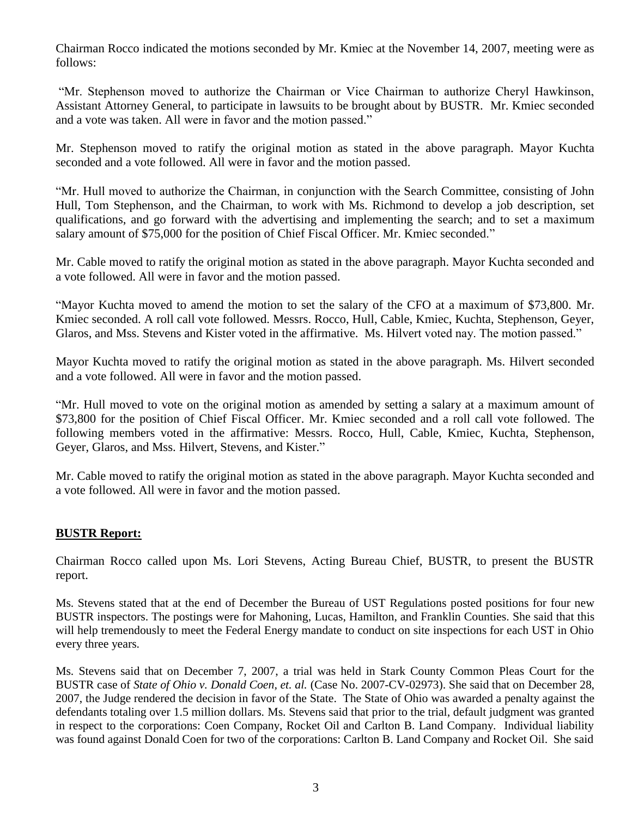Chairman Rocco indicated the motions seconded by Mr. Kmiec at the November 14, 2007, meeting were as follows:

"Mr. Stephenson moved to authorize the Chairman or Vice Chairman to authorize Cheryl Hawkinson, Assistant Attorney General, to participate in lawsuits to be brought about by BUSTR. Mr. Kmiec seconded and a vote was taken. All were in favor and the motion passed."

Mr. Stephenson moved to ratify the original motion as stated in the above paragraph. Mayor Kuchta seconded and a vote followed. All were in favor and the motion passed.

"Mr. Hull moved to authorize the Chairman, in conjunction with the Search Committee, consisting of John Hull, Tom Stephenson, and the Chairman, to work with Ms. Richmond to develop a job description, set qualifications, and go forward with the advertising and implementing the search; and to set a maximum salary amount of \$75,000 for the position of Chief Fiscal Officer. Mr. Kmiec seconded."

Mr. Cable moved to ratify the original motion as stated in the above paragraph. Mayor Kuchta seconded and a vote followed. All were in favor and the motion passed.

"Mayor Kuchta moved to amend the motion to set the salary of the CFO at a maximum of \$73,800. Mr. Kmiec seconded. A roll call vote followed. Messrs. Rocco, Hull, Cable, Kmiec, Kuchta, Stephenson, Geyer, Glaros, and Mss. Stevens and Kister voted in the affirmative. Ms. Hilvert voted nay. The motion passed."

Mayor Kuchta moved to ratify the original motion as stated in the above paragraph. Ms. Hilvert seconded and a vote followed. All were in favor and the motion passed.

"Mr. Hull moved to vote on the original motion as amended by setting a salary at a maximum amount of \$73,800 for the position of Chief Fiscal Officer. Mr. Kmiec seconded and a roll call vote followed. The following members voted in the affirmative: Messrs. Rocco, Hull, Cable, Kmiec, Kuchta, Stephenson, Geyer, Glaros, and Mss. Hilvert, Stevens, and Kister."

Mr. Cable moved to ratify the original motion as stated in the above paragraph. Mayor Kuchta seconded and a vote followed. All were in favor and the motion passed.

# **BUSTR Report:**

Chairman Rocco called upon Ms. Lori Stevens, Acting Bureau Chief, BUSTR, to present the BUSTR report.

Ms. Stevens stated that at the end of December the Bureau of UST Regulations posted positions for four new BUSTR inspectors. The postings were for Mahoning, Lucas, Hamilton, and Franklin Counties. She said that this will help tremendously to meet the Federal Energy mandate to conduct on site inspections for each UST in Ohio every three years.

Ms. Stevens said that on December 7, 2007, a trial was held in Stark County Common Pleas Court for the BUSTR case of *State of Ohio v. Donald Coen, et. al.* (Case No. 2007-CV-02973). She said that on December 28, 2007, the Judge rendered the decision in favor of the State. The State of Ohio was awarded a penalty against the defendants totaling over 1.5 million dollars. Ms. Stevens said that prior to the trial, default judgment was granted in respect to the corporations: Coen Company, Rocket Oil and Carlton B. Land Company. Individual liability was found against Donald Coen for two of the corporations: Carlton B. Land Company and Rocket Oil. She said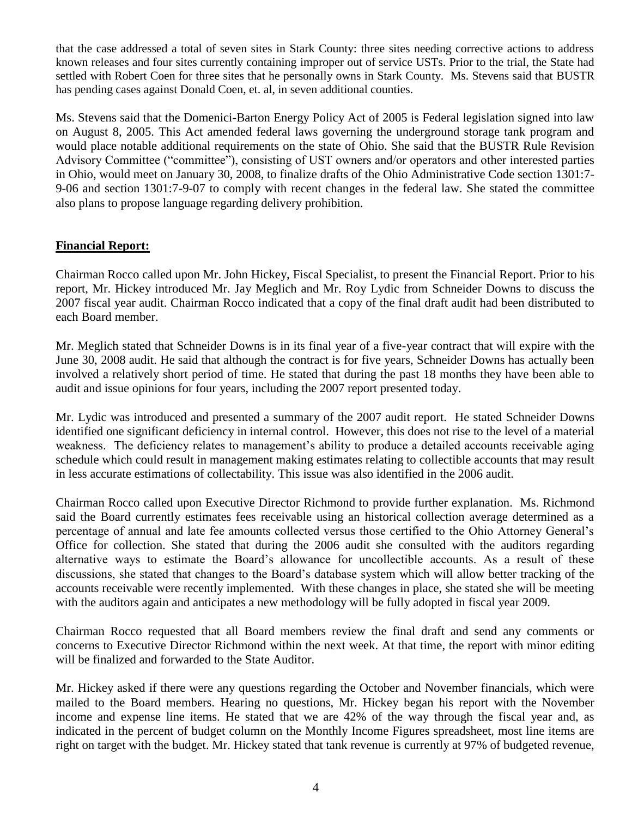that the case addressed a total of seven sites in Stark County: three sites needing corrective actions to address known releases and four sites currently containing improper out of service USTs. Prior to the trial, the State had settled with Robert Coen for three sites that he personally owns in Stark County. Ms. Stevens said that BUSTR has pending cases against Donald Coen, et. al, in seven additional counties.

Ms. Stevens said that the Domenici-Barton Energy Policy Act of 2005 is Federal legislation signed into law on August 8, 2005. This Act amended federal laws governing the underground storage tank program and would place notable additional requirements on the state of Ohio. She said that the BUSTR Rule Revision Advisory Committee ("committee"), consisting of UST owners and/or operators and other interested parties in Ohio, would meet on January 30, 2008, to finalize drafts of the Ohio Administrative Code section 1301:7- 9-06 and section 1301:7-9-07 to comply with recent changes in the federal law. She stated the committee also plans to propose language regarding delivery prohibition.

# **Financial Report:**

Chairman Rocco called upon Mr. John Hickey, Fiscal Specialist, to present the Financial Report. Prior to his report, Mr. Hickey introduced Mr. Jay Meglich and Mr. Roy Lydic from Schneider Downs to discuss the 2007 fiscal year audit. Chairman Rocco indicated that a copy of the final draft audit had been distributed to each Board member.

Mr. Meglich stated that Schneider Downs is in its final year of a five-year contract that will expire with the June 30, 2008 audit. He said that although the contract is for five years, Schneider Downs has actually been involved a relatively short period of time. He stated that during the past 18 months they have been able to audit and issue opinions for four years, including the 2007 report presented today.

Mr. Lydic was introduced and presented a summary of the 2007 audit report. He stated Schneider Downs identified one significant deficiency in internal control. However, this does not rise to the level of a material weakness. The deficiency relates to management's ability to produce a detailed accounts receivable aging schedule which could result in management making estimates relating to collectible accounts that may result in less accurate estimations of collectability. This issue was also identified in the 2006 audit.

Chairman Rocco called upon Executive Director Richmond to provide further explanation. Ms. Richmond said the Board currently estimates fees receivable using an historical collection average determined as a percentage of annual and late fee amounts collected versus those certified to the Ohio Attorney General's Office for collection. She stated that during the 2006 audit she consulted with the auditors regarding alternative ways to estimate the Board's allowance for uncollectible accounts. As a result of these discussions, she stated that changes to the Board's database system which will allow better tracking of the accounts receivable were recently implemented. With these changes in place, she stated she will be meeting with the auditors again and anticipates a new methodology will be fully adopted in fiscal year 2009.

Chairman Rocco requested that all Board members review the final draft and send any comments or concerns to Executive Director Richmond within the next week. At that time, the report with minor editing will be finalized and forwarded to the State Auditor.

Mr. Hickey asked if there were any questions regarding the October and November financials, which were mailed to the Board members. Hearing no questions, Mr. Hickey began his report with the November income and expense line items. He stated that we are 42% of the way through the fiscal year and, as indicated in the percent of budget column on the Monthly Income Figures spreadsheet, most line items are right on target with the budget. Mr. Hickey stated that tank revenue is currently at 97% of budgeted revenue,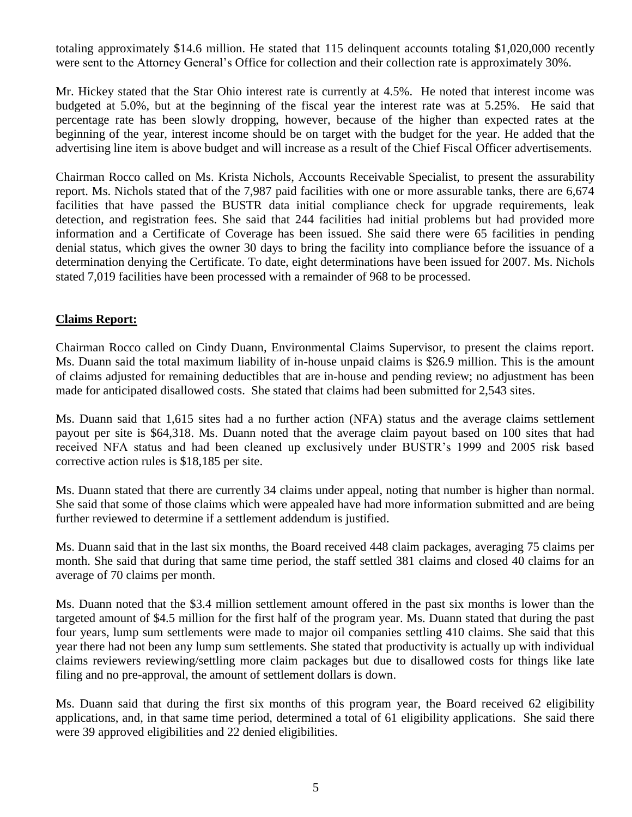totaling approximately \$14.6 million. He stated that 115 delinquent accounts totaling \$1,020,000 recently were sent to the Attorney General's Office for collection and their collection rate is approximately 30%.

Mr. Hickey stated that the Star Ohio interest rate is currently at 4.5%. He noted that interest income was budgeted at 5.0%, but at the beginning of the fiscal year the interest rate was at 5.25%. He said that percentage rate has been slowly dropping, however, because of the higher than expected rates at the beginning of the year, interest income should be on target with the budget for the year. He added that the advertising line item is above budget and will increase as a result of the Chief Fiscal Officer advertisements.

Chairman Rocco called on Ms. Krista Nichols, Accounts Receivable Specialist, to present the assurability report. Ms. Nichols stated that of the 7,987 paid facilities with one or more assurable tanks, there are 6,674 facilities that have passed the BUSTR data initial compliance check for upgrade requirements, leak detection, and registration fees. She said that 244 facilities had initial problems but had provided more information and a Certificate of Coverage has been issued. She said there were 65 facilities in pending denial status, which gives the owner 30 days to bring the facility into compliance before the issuance of a determination denying the Certificate. To date, eight determinations have been issued for 2007. Ms. Nichols stated 7,019 facilities have been processed with a remainder of 968 to be processed.

#### **Claims Report:**

Chairman Rocco called on Cindy Duann, Environmental Claims Supervisor, to present the claims report. Ms. Duann said the total maximum liability of in-house unpaid claims is \$26.9 million. This is the amount of claims adjusted for remaining deductibles that are in-house and pending review; no adjustment has been made for anticipated disallowed costs. She stated that claims had been submitted for 2,543 sites.

Ms. Duann said that 1,615 sites had a no further action (NFA) status and the average claims settlement payout per site is \$64,318. Ms. Duann noted that the average claim payout based on 100 sites that had received NFA status and had been cleaned up exclusively under BUSTR's 1999 and 2005 risk based corrective action rules is \$18,185 per site.

Ms. Duann stated that there are currently 34 claims under appeal, noting that number is higher than normal. She said that some of those claims which were appealed have had more information submitted and are being further reviewed to determine if a settlement addendum is justified.

Ms. Duann said that in the last six months, the Board received 448 claim packages, averaging 75 claims per month. She said that during that same time period, the staff settled 381 claims and closed 40 claims for an average of 70 claims per month.

Ms. Duann noted that the \$3.4 million settlement amount offered in the past six months is lower than the targeted amount of \$4.5 million for the first half of the program year. Ms. Duann stated that during the past four years, lump sum settlements were made to major oil companies settling 410 claims. She said that this year there had not been any lump sum settlements. She stated that productivity is actually up with individual claims reviewers reviewing/settling more claim packages but due to disallowed costs for things like late filing and no pre-approval, the amount of settlement dollars is down.

Ms. Duann said that during the first six months of this program year, the Board received 62 eligibility applications, and, in that same time period, determined a total of 61 eligibility applications. She said there were 39 approved eligibilities and 22 denied eligibilities.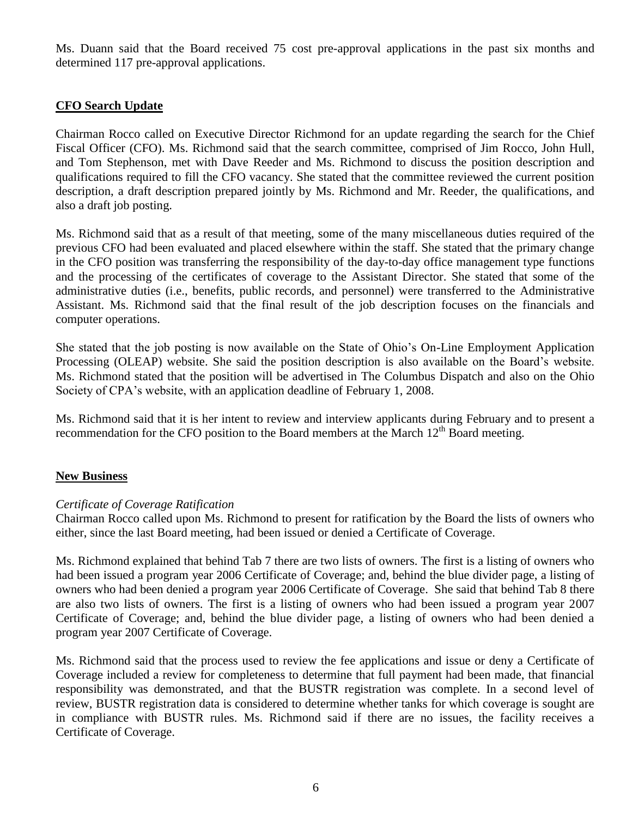Ms. Duann said that the Board received 75 cost pre-approval applications in the past six months and determined 117 pre-approval applications.

# **CFO Search Update**

Chairman Rocco called on Executive Director Richmond for an update regarding the search for the Chief Fiscal Officer (CFO). Ms. Richmond said that the search committee, comprised of Jim Rocco, John Hull, and Tom Stephenson, met with Dave Reeder and Ms. Richmond to discuss the position description and qualifications required to fill the CFO vacancy. She stated that the committee reviewed the current position description, a draft description prepared jointly by Ms. Richmond and Mr. Reeder, the qualifications, and also a draft job posting.

Ms. Richmond said that as a result of that meeting, some of the many miscellaneous duties required of the previous CFO had been evaluated and placed elsewhere within the staff. She stated that the primary change in the CFO position was transferring the responsibility of the day-to-day office management type functions and the processing of the certificates of coverage to the Assistant Director. She stated that some of the administrative duties (i.e., benefits, public records, and personnel) were transferred to the Administrative Assistant. Ms. Richmond said that the final result of the job description focuses on the financials and computer operations.

She stated that the job posting is now available on the State of Ohio's On-Line Employment Application Processing (OLEAP) website. She said the position description is also available on the Board's website. Ms. Richmond stated that the position will be advertised in The Columbus Dispatch and also on the Ohio Society of CPA's website, with an application deadline of February 1, 2008.

Ms. Richmond said that it is her intent to review and interview applicants during February and to present a recommendation for the CFO position to the Board members at the March  $12<sup>th</sup>$  Board meeting.

#### **New Business**

#### *Certificate of Coverage Ratification*

Chairman Rocco called upon Ms. Richmond to present for ratification by the Board the lists of owners who either, since the last Board meeting, had been issued or denied a Certificate of Coverage.

Ms. Richmond explained that behind Tab 7 there are two lists of owners. The first is a listing of owners who had been issued a program year 2006 Certificate of Coverage; and, behind the blue divider page, a listing of owners who had been denied a program year 2006 Certificate of Coverage. She said that behind Tab 8 there are also two lists of owners. The first is a listing of owners who had been issued a program year 2007 Certificate of Coverage; and, behind the blue divider page, a listing of owners who had been denied a program year 2007 Certificate of Coverage.

Ms. Richmond said that the process used to review the fee applications and issue or deny a Certificate of Coverage included a review for completeness to determine that full payment had been made, that financial responsibility was demonstrated, and that the BUSTR registration was complete. In a second level of review, BUSTR registration data is considered to determine whether tanks for which coverage is sought are in compliance with BUSTR rules. Ms. Richmond said if there are no issues, the facility receives a Certificate of Coverage.